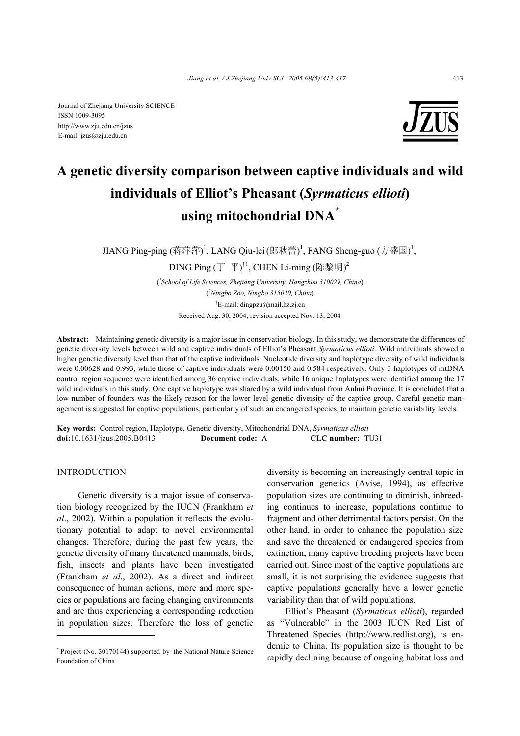Journal of Zhejiang University SCIENCE ISSN 1009-3095 http://www.zju.edu.cn/jzus E-mail: jzus@zju.edu.cn



# **A genetic diversity comparison between captive individuals and wild individuals of Elliot's Pheasant (***Syrmaticus ellioti***) using mitochondrial DNA\***

JIANG Ping-ping (蒋萍萍)<sup>1</sup>, LANG Qiu-lei (郎秋蕾)<sup>1</sup>, FANG Sheng-guo (方盛国)<sup>1</sup>,

DING Ping (丁 平) $^{\dagger1}$ , CHEN Li-ming (陈黎明) $^2$ 

( *1 School of Life Sciences, Zhejiang University, Hangzhou 310029, China*) ( *2 Ningbo Zoo, Ningbo 315020, China*) † E-mail: dingpzu@mail.hz.zj.cn Received Aug. 30, 2004; revision accepted Nov. 13, 2004

**Abstract:** Maintaining genetic diversity is a major issue in conservation biology. In this study, we demonstrate the differences of genetic diversity levels between wild and captive individuals of Elliot's Pheasant *Syrmaticus ellioti*. Wild individuals showed a higher genetic diversity level than that of the captive individuals. Nucleotide diversity and haplotype diversity of wild individuals were 0.00628 and 0.993, while those of captive individuals were 0.00150 and 0.584 respectively. Only 3 haplotypes of mtDNA control region sequence were identified among 36 captive individuals, while 16 unique haplotypes were identified among the 17 wild individuals in this study. One captive haplotype was shared by a wild individual from Anhui Province. It is concluded that a low number of founders was the likely reason for the lower level genetic diversity of the captive group. Careful genetic management is suggested for captive populations, particularly of such an endangered species, to maintain genetic variability levels.

**Key words:** Control region, Haplotype, Genetic diversity, Mitochondrial DNA, *Syrmaticus ellioti*  **doi:**10.1631/jzus.2005.B0413 **Document code:** A **CLC number:** TU31

INTRODUCTION

Genetic diversity is a major issue of conservation biology recognized by the IUCN (Frankham *et al*., 2002). Within a population it reflects the evolutionary potential to adapt to novel environmental changes. Therefore, during the past few years, the genetic diversity of many threatened mammals, birds, fish, insects and plants have been investigated (Frankham *et al*., 2002). As a direct and indirect consequence of human actions, more and more species or populations are facing changing environments and are thus experiencing a corresponding reduction in population sizes. Therefore the loss of genetic

diversity is becoming an increasingly central topic in conservation genetics (Avise, 1994), as effective population sizes are continuing to diminish, inbreeding continues to increase, populations continue to fragment and other detrimental factors persist. On the other hand, in order to enhance the population size and save the threatened or endangered species from extinction, many captive breeding projects have been carried out. Since most of the captive populations are small, it is not surprising the evidence suggests that captive populations generally have a lower genetic variability than that of wild populations.

Elliot's Pheasant (*Syrmaticus ellioti*), regarded as "Vulnerable" in the 2003 IUCN Red List of Threatened Species (http://www.redlist.org), is endemic to China. Its population size is thought to be rapidly declining because of ongoing habitat loss and

**<sup>\*</sup>** Project (No. 30170144) supported by the National Nature Science Foundation of China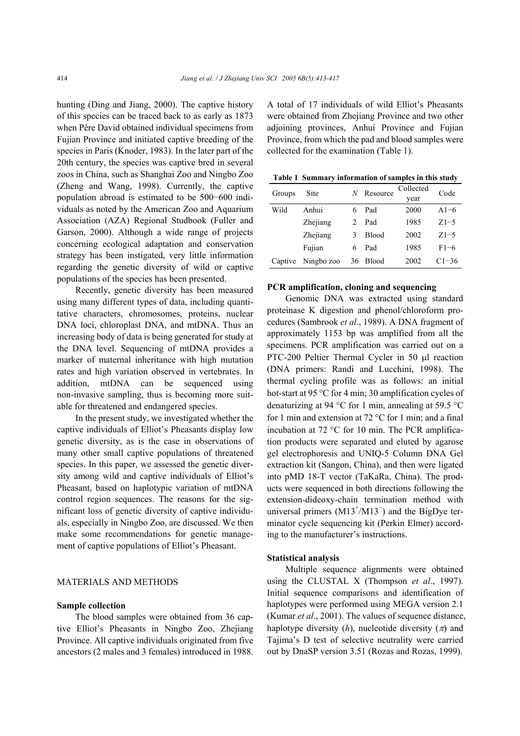hunting (Ding and Jiang, 2000). The captive history of this species can be traced back to as early as 1873 when Père David obtained individual specimens from Fujian Province and initiated captive breeding of the species in Paris (Knoder, 1983). In the later part of the 20th century, the species was captive bred in several zoos in China, such as Shanghai Zoo and Ningbo Zoo (Zheng and Wang, 1998). Currently, the captive population abroad is estimated to be 500−600 individuals as noted by the American Zoo and Aquarium Association (AZA) Regional Studbook (Fuller and Garson, 2000). Although a wide range of projects concerning ecological adaptation and conservation strategy has been instigated, very little information regarding the genetic diversity of wild or captive populations of the species has been presented.

Recently, genetic diversity has been measured using many different types of data, including quantitative characters, chromosomes, proteins, nuclear DNA loci, chloroplast DNA, and mtDNA. Thus an increasing body of data is being generated for study at the DNA level. Sequencing of mtDNA provides a marker of maternal inheritance with high mutation rates and high variation observed in vertebrates. In addition, mtDNA can be sequenced using non-invasive sampling, thus is becoming more suitable for threatened and endangered species.

In the present study, we investigated whether the captive individuals of Elliot's Pheasants display low genetic diversity, as is the case in observations of many other small captive populations of threatened species. In this paper, we assessed the genetic diversity among wild and captive individuals of Elliot's Pheasant, based on haplotypic variation of mtDNA control region sequences. The reasons for the significant loss of genetic diversity of captive individuals, especially in Ningbo Zoo, are discussed. We then make some recommendations for genetic management of captive populations of Elliot's Pheasant.

### MATERIALS AND METHODS

#### **Sample collection**

The blood samples were obtained from 36 captive Elliot's Pheasants in Ningbo Zoo, Zhejiang Province. All captive individuals originated from five ancestors (2 males and 3 females) introduced in 1988. A total of 17 individuals of wild Elliot's Pheasants were obtained from Zhejiang Province and two other adjoining provinces, Anhui Province and Fujian Province, from which the pad and blood samples were collected for the examination (Table 1).

**Table 1 Summary information of samples in this study**

| Groups  | Site       | N  | Resource     | Collected | Code      |  |
|---------|------------|----|--------------|-----------|-----------|--|
|         |            |    |              | year      |           |  |
| Wild    | Anhui      | 6  | Pad          | 2000      | $A1-6$    |  |
|         | Zhejiang   | 2  | Pad          | 1985      | $Z1 - 5$  |  |
|         | Zhejiang   | 3  | <b>Blood</b> | 2002      | $Z1-5$    |  |
|         | Fujian     | 6  | Pad          | 1985      | $F1 - 6$  |  |
| Captive | Ningbo zoo | 36 | Blood        | 2002      | $C1 - 36$ |  |

#### **PCR amplification, cloning and sequencing**

Genomic DNA was extracted using standard proteinase K digestion and phenol/chloroform procedures (Sambrook *et al*., 1989). A DNA fragment of approximately 1153 bp was amplified from all the specimens. PCR amplification was carried out on a PTC-200 Peltier Thermal Cycler in 50 µl reaction (DNA primers: Randi and Lucchini, 1998). The thermal cycling profile was as follows: an initial hot-start at 95 °C for 4 min; 30 amplification cycles of denaturizing at 94 °C for 1 min, annealing at 59.5 °C for 1 min and extension at 72 °C for 1 min; and a final incubation at 72 °C for 10 min. The PCR amplification products were separated and eluted by agarose gel electrophoresis and UNIQ-5 Column DNA Gel extraction kit (Sangon, China), and then were ligated into pMD 18-T vector (TaKaRa, China). The products were sequenced in both directions following the extension-dideoxy-chain termination method with universal primers  $(M13^+/M13^-)$  and the BigDye terminator cycle sequencing kit (Perkin Elmer) according to the manufacturer's instructions.

#### **Statistical analysis**

Multiple sequence alignments were obtained using the CLUSTAL X (Thompson *et al*., 1997). Initial sequence comparisons and identification of haplotypes were performed using MEGA version 2.1 (Kumar *et al*., 2001). The values of sequence distance, haplotype diversity  $(h)$ , nucleotide diversity  $(\pi)$  and Tajima's D test of selective neutrality were carried out by DnaSP version 3.51 (Rozas and Rozas, 1999).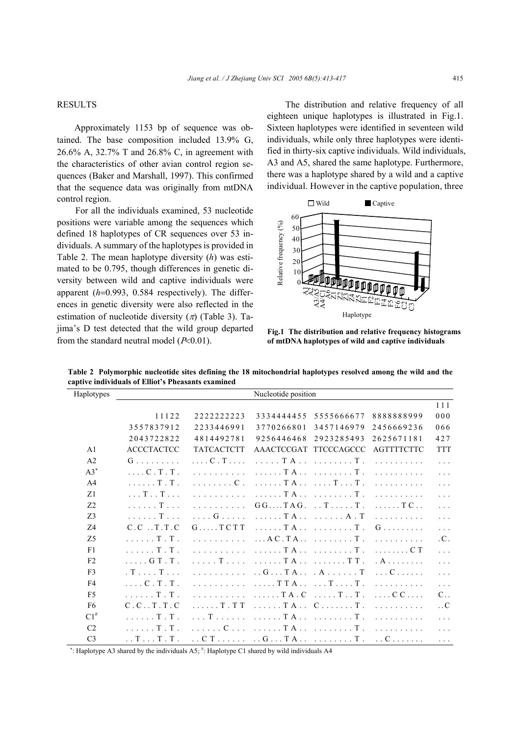## RESULTS

Approximately 1153 bp of sequence was obtained. The base composition included 13.9% G, 26.6% A, 32.7% T and 26.8% C, in agreement with the characteristics of other avian control region sequences (Baker and Marshall, 1997). This confirmed that the sequence data was originally from mtDNA control region.

For all the individuals examined, 53 nucleotide positions were variable among the sequences which defined 18 haplotypes of CR sequences over 53 individuals. A summary of the haplotypes is provided in Table 2. The mean haplotype diversity (*h*) was estimated to be 0.795, though differences in genetic diversity between wild and captive individuals were apparent (*h*=0.993, 0.584 respectively). The differences in genetic diversity were also reflected in the estimation of nucleotide diversity  $(\pi)$  (Table 3). Tajima's D test detected that the wild group departed from the standard neutral model  $(P<0.01)$ .

The distribution and relative frequency of all eighteen unique haplotypes is illustrated in Fig.1. Sixteen haplotypes were identified in seventeen wild individuals, while only three haplotypes were identified in thirty-six captive individuals. Wild individuals, A3 and A5, shared the same haplotype. Furthermore, there was a haplotype shared by a wild and a captive individual. However in the captive population, three



**Fig.1 The distribution and relative frequency histograms** of mtDNA haplotypes of wild and captive individuals

| Haplotypes     | Nucleotide position                       |                           |                                                                 |                                |                         |                  |
|----------------|-------------------------------------------|---------------------------|-----------------------------------------------------------------|--------------------------------|-------------------------|------------------|
|                |                                           |                           |                                                                 |                                |                         | 111              |
|                | 11122                                     | 222222223                 | 3334444455                                                      | 5555666677                     | 8888888999              | 000              |
|                | 3557837912                                | 2233446991                | 3770266801                                                      | 3457146979                     | 2456669236              | 066              |
|                | 2043722822                                | 4814492781                | 9256446468                                                      | 2923285493                     | 2625671181              | 427              |
| A <sub>1</sub> | <b>ACCCTACTCC</b>                         | <b>TATCACTCTT</b>         | AAACTCCGAT TTCCCAGCCC                                           |                                | <b>AGTTTTCTTC</b>       | <b>TTT</b>       |
| A <sub>2</sub> | $G$                                       | $\ldots$ C . T $\ldots$ . | . T A T .                                                       |                                |                         | $\ldots$         |
| $A3^*$         | $\ldots$ C $\ldots$ T $\ldots$ T $\ldots$ | a a a a a a a a a a       |                                                                 | . T A T .                      | a a a a a a a a a a     | $\ldots$         |
| A <sub>4</sub> | . T . T .                                 | . C .                     |                                                                 | TA TT.                         |                         | $\ldots$         |
| Z1             | $\ldots$ T $\ldots$ T $\ldots$            | and a straight and a      |                                                                 | . T A T .                      | a dia anala dia an      | $\mathbf{1}$     |
| Z <sub>2</sub> | . T                                       | and a straight and        |                                                                 | $GG \dots TAG \dots T \dots T$ | $\ldots$ . TC.          | $\mathbf{1}$     |
| Z <sub>3</sub> | $\ldots$ . Then                           | . G                       | . T A A . T                                                     |                                | .                       | $\ldots$         |
| Z4             | C.C. T. T.C.                              | $G \ldots TCT$            |                                                                 | . T A T .                      | $G$                     | $\ldots$         |
| Z <sub>5</sub> | . T . T .                                 | a dia 1970 ary 2014.      | $\ldots$ A C . T A $\ldots$ $\ldots$ $\ldots$ T .               |                                |                         | .C.              |
| F1             | $\ldots$ . T.T.                           |                           |                                                                 |                                | . C T                   | $\ldots$         |
| F <sub>2</sub> | $\ldots$ . G T . T .                      | . T                       | . T A                                                           | . T T .                        | . A                     | $\ldots$         |
| F <sub>3</sub> | $T \ldots T$                              | and a straight and        | $\ldots$ G $\ldots$ T A $\ldots$ $\ldots$ A $\ldots$ $\ldots$ T |                                | . C                     | $\ldots$         |
| F <sub>4</sub> | $\ldots$ C . T . T .                      | and a share and a state   | $\ldots$ . TTA $\ldots$ . T T.                                  |                                | a a a a a a a a a a     | $\ldots$         |
| F <sub>5</sub> | . T . T .                                 | and a straight and a      | $\ldots$ . TA. C                                                | $\ldots$ . T. T.               | $\ldots$ C C $\ldots$ . | $C_{\cdot}$ .    |
| F <sub>6</sub> | $C.C. T. T.C$                             | $\ldots$ . T. T. T.       | . T A C T .                                                     |                                | a dia anala dia an      | $\cdot$ . C      |
| $C1^{\#}$      | . T . T .                                 | $\ldots$ Terms and        | . T A T .                                                       |                                | .                       | $\ldots$         |
| C <sub>2</sub> | $\ldots$ . T.T.                           | . C                       | . T A T .                                                       |                                | .                       | $\ldots$         |
| C <sub>3</sub> | $\ldots T \ldots T \ldots T$ .            | . . C T                   | $\ldots$ G $\ldots$ T A $\ldots$ $\ldots$ $\ldots$ T $\ldots$   |                                | . . C                   | $\mathbb{Z}^2$ . |

**Table 2 Polymorphic nucleotide sites defining the 18 mitochondrial haplotypes resolved among the wild and the captive individuals of Elliot's Pheasants examined** 

∗ : Haplotype A3 shared by the individuals A5; # : Haplotype C1 shared by wild individuals A4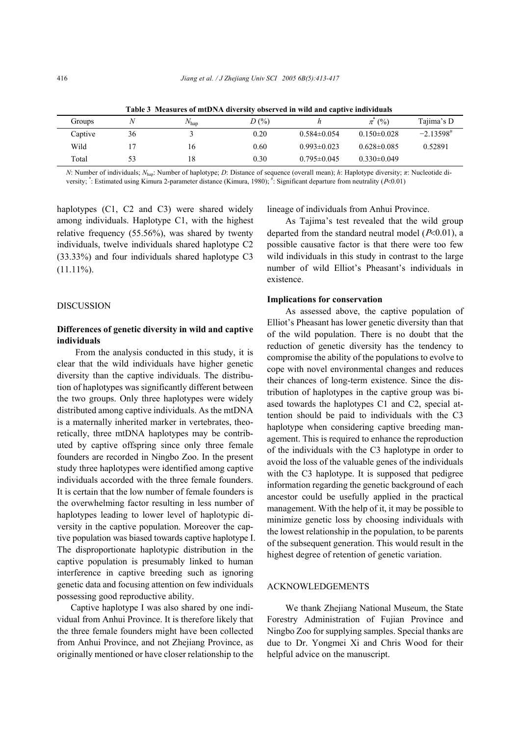| Tubic of the assembly of high-the diversity observed in white and cuptive individuals |    |                   |         |                   |                   |                 |  |
|---------------------------------------------------------------------------------------|----|-------------------|---------|-------------------|-------------------|-----------------|--|
| Groups                                                                                |    | /V <sub>hap</sub> | $D(\%)$ |                   | $\pi (%)$         | Tajima's D      |  |
| Captive                                                                               | 36 |                   | 0.20    | $0.584\pm0.054$   | $0.150 \pm 0.028$ | $-2.13598^{\#}$ |  |
| Wild                                                                                  |    | 16                | 0.60    | $0.993\pm0.023$   | $0.628\pm0.085$   | 0.52891         |  |
| Total                                                                                 | 53 | 18                | 0.30    | $0.795 \pm 0.045$ | $0.330\pm0.049$   |                 |  |
|                                                                                       |    |                   |         |                   |                   |                 |  |

**Table 3 Measures of mtDNA diversity observed in wild and captive individuals**

*N*: Number of individuals; *N*hap: Number of haplotype; *D*: Distance of sequence (overall mean); *h*: Haplotype diversity; *π*: Nucleotide diversity; \*: Estimated using Kimura 2-parameter distance (Kimura, 1980); #: Significant departure from neutrality (P<0.01)

haplotypes (C1, C2 and C3) were shared widely among individuals. Haplotype C1, with the highest relative frequency (55.56%), was shared by twenty individuals, twelve individuals shared haplotype C2 (33.33%) and four individuals shared haplotype C3  $(11.11\%)$ .

#### DISCUSSION

## **Differences of genetic diversity in wild and captive individuals**

From the analysis conducted in this study, it is clear that the wild individuals have higher genetic diversity than the captive individuals. The distribution of haplotypes was significantly different between the two groups. Only three haplotypes were widely distributed among captive individuals. As the mtDNA is a maternally inherited marker in vertebrates, theoretically, three mtDNA haplotypes may be contributed by captive offspring since only three female founders are recorded in Ningbo Zoo. In the present study three haplotypes were identified among captive individuals accorded with the three female founders. It is certain that the low number of female founders is the overwhelming factor resulting in less number of haplotypes leading to lower level of haplotypic diversity in the captive population. Moreover the captive population was biased towards captive haplotype I. The disproportionate haplotypic distribution in the captive population is presumably linked to human interference in captive breeding such as ignoring genetic data and focusing attention on few individuals possessing good reproductive ability.

 Captive haplotype I was also shared by one individual from Anhui Province. It is therefore likely that the three female founders might have been collected from Anhui Province, and not Zhejiang Province, as originally mentioned or have closer relationship to the lineage of individuals from Anhui Province.

As Tajima's test revealed that the wild group departed from the standard neutral model  $(P<0.01)$ , a possible causative factor is that there were too few wild individuals in this study in contrast to the large number of wild Elliot's Pheasant's individuals in existence.

#### **Implications for conservation**

As assessed above, the captive population of Elliot's Pheasant has lower genetic diversity than that of the wild population. There is no doubt that the reduction of genetic diversity has the tendency to compromise the ability of the populations to evolve to cope with novel environmental changes and reduces their chances of long-term existence. Since the distribution of haplotypes in the captive group was biased towards the haplotypes C1 and C2, special attention should be paid to individuals with the C3 haplotype when considering captive breeding management. This is required to enhance the reproduction of the individuals with the C3 haplotype in order to avoid the loss of the valuable genes of the individuals with the C3 haplotype. It is supposed that pedigree information regarding the genetic background of each ancestor could be usefully applied in the practical management. With the help of it, it may be possible to minimize genetic loss by choosing individuals with the lowest relationship in the population, to be parents of the subsequent generation. This would result in the highest degree of retention of genetic variation.

#### ACKNOWLEDGEMENTS

We thank Zhejiang National Museum, the State Forestry Administration of Fujian Province and Ningbo Zoo for supplying samples. Special thanks are due to Dr. Yongmei Xi and Chris Wood for their helpful advice on the manuscript.